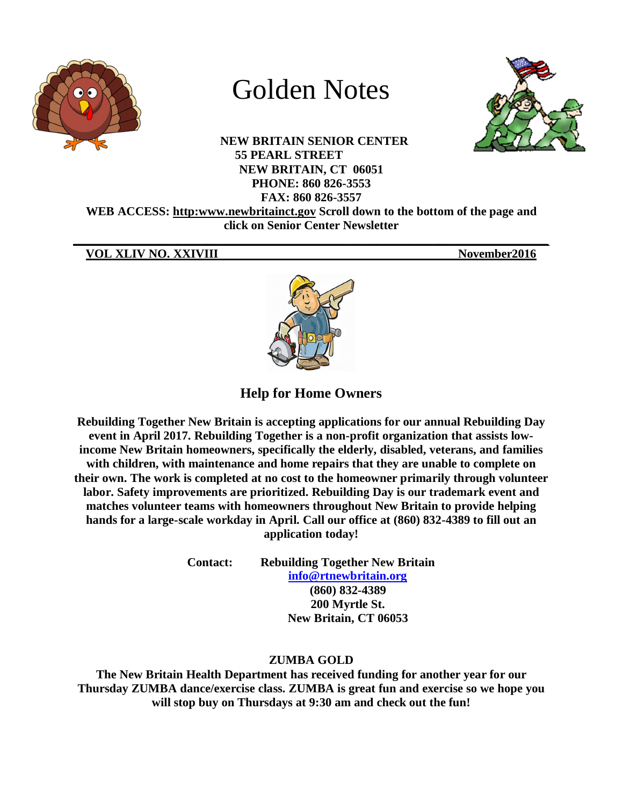

# Golden Notes

**NEW BRITAIN SENIOR CENTER 55 PEARL STREET NEW BRITAIN, CT 06051 PHONE: 860 826-3553 FAX: 860 826-3557**



**WEB ACCESS: http:www.newbritainct.gov Scroll down to the bottom of the page and click on Senior Center Newsletter** 

**\_\_\_\_\_\_\_\_\_\_\_\_\_\_\_\_\_\_\_\_\_\_\_\_\_\_\_\_\_\_\_\_\_\_\_\_\_\_\_\_\_\_\_\_\_\_\_\_\_\_\_\_\_\_\_\_\_\_\_\_\_\_\_\_\_\_\_\_\_\_\_\_\_\_\_\_\_\_**

# **VOL XLIV NO. XXIVIII** November2016



**Help for Home Owners**

**Rebuilding Together New Britain is accepting applications for our annual Rebuilding Day event in April 2017. Rebuilding Together is a non-profit organization that assists lowincome New Britain homeowners, specifically the elderly, disabled, veterans, and families with children, with maintenance and home repairs that they are unable to complete on their own. The work is completed at no cost to the homeowner primarily through volunteer labor. Safety improvements are prioritized. Rebuilding Day is our trademark event and matches volunteer teams with homeowners throughout New Britain to provide helping hands for a large-scale workday in April. Call our office at (860) 832-4389 to fill out an application today!**

> **Contact: Rebuilding Together New Britain info@rtnewbritain.org (860) 832-4389 200 Myrtle St. New Britain, CT 06053**

# **ZUMBA GOLD**

**The New Britain Health Department has received funding for another year for our Thursday ZUMBA dance/exercise class. ZUMBA is great fun and exercise so we hope you will stop buy on Thursdays at 9:30 am and check out the fun!**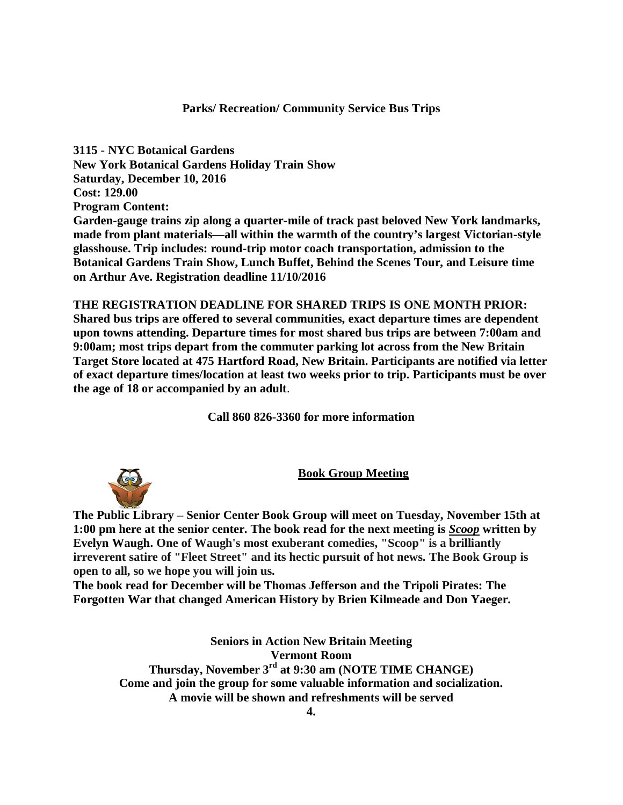# **Parks/ Recreation/ Community Service Bus Trips**

**3115 - NYC Botanical Gardens New York Botanical Gardens Holiday Train Show Saturday, December 10, 2016 Cost: 129.00 Program Content: Garden-gauge trains zip along a quarter-mile of track past beloved New York landmarks, made from plant materials—all within the warmth of the country's largest Victorian-style glasshouse. Trip includes: round-trip motor coach transportation, admission to the Botanical Gardens Train Show, Lunch Buffet, Behind the Scenes Tour, and Leisure time on Arthur Ave. Registration deadline 11/10/2016**

**THE REGISTRATION DEADLINE FOR SHARED TRIPS IS ONE MONTH PRIOR: Shared bus trips are offered to several communities, exact departure times are dependent upon towns attending. Departure times for most shared bus trips are between 7:00am and 9:00am; most trips depart from the commuter parking lot across from the New Britain Target Store located at 475 Hartford Road, New Britain. Participants are notified via letter of exact departure times/location at least two weeks prior to trip. Participants must be over the age of 18 or accompanied by an adult**.

**Call 860 826-3360 for more information**

**Book Group Meeting**

**The Public Library – Senior Center Book Group will meet on Tuesday, November 15th at 1:00 pm here at the senior center. The book read for the next meeting is** *Scoop* **written by Evelyn Waugh. One of Waugh's most exuberant comedies, "Scoop" is a brilliantly irreverent satire of "Fleet Street" and its hectic pursuit of hot news. The Book Group is open to all, so we hope you will join us.** 

**The book read for December will be Thomas Jefferson and the Tripoli Pirates: The Forgotten War that changed American History by Brien Kilmeade and Don Yaeger.** 

> **Seniors in Action New Britain Meeting Vermont Room Thursday, November 3rd at 9:30 am (NOTE TIME CHANGE) Come and join the group for some valuable information and socialization. A movie will be shown and refreshments will be served**



**4.**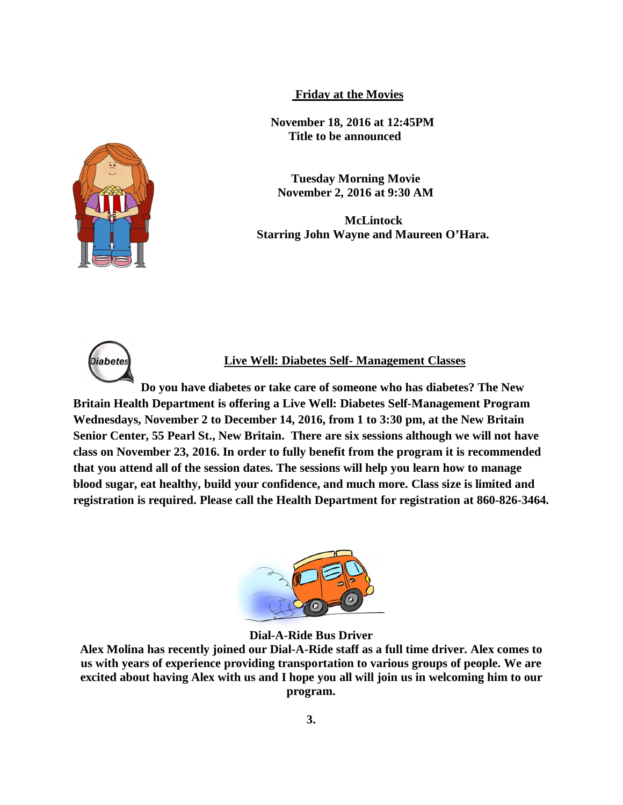**Friday at the Movies**

 **November 18, 2016 at 12:45PM Title to be announced** 

**Tuesday Morning Movie November 2, 2016 at 9:30 AM**

**McLintock Starring John Wayne and Maureen O'Hara.** 



**Diabete** 

# **Live Well: Diabetes Self- Management Classes**

**Do you have diabetes or take care of someone who has diabetes? The New Britain Health Department is offering a Live Well: Diabetes Self-Management Program Wednesdays, November 2 to December 14, 2016, from 1 to 3:30 pm, at the New Britain Senior Center, 55 Pearl St., New Britain. There are six sessions although we will not have class on November 23, 2016. In order to fully benefit from the program it is recommended that you attend all of the session dates. The sessions will help you learn how to manage blood sugar, eat healthy, build your confidence, and much more. Class size is limited and registration is required. Please call the Health Department for registration at 860-826-3464.**



**Dial-A-Ride Bus Driver**

**Alex Molina has recently joined our Dial-A-Ride staff as a full time driver. Alex comes to us with years of experience providing transportation to various groups of people. We are excited about having Alex with us and I hope you all will join us in welcoming him to our program.**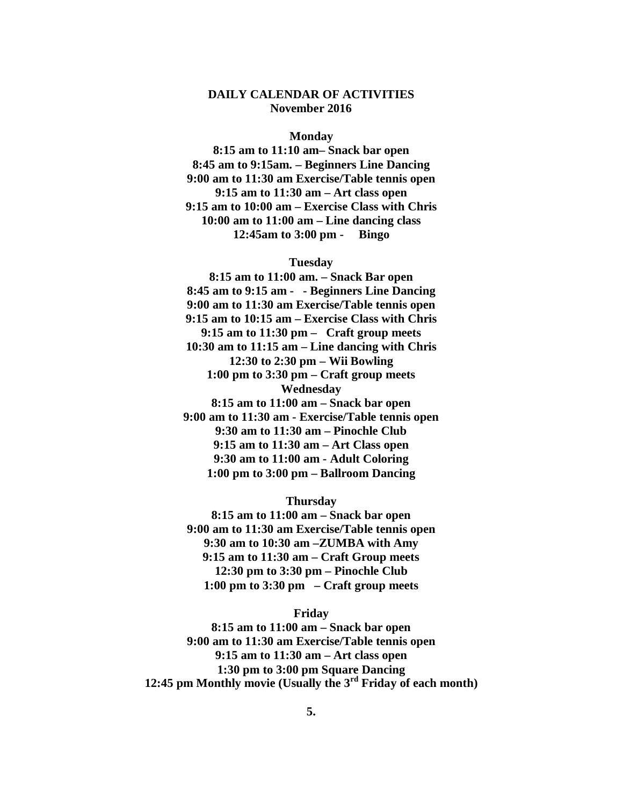# **DAILY CALENDAR OF ACTIVITIES November 2016**

#### **Monday**

**8:15 am to 11:10 am– Snack bar open 8:45 am to 9:15am. – Beginners Line Dancing 9:00 am to 11:30 am Exercise/Table tennis open 9:15 am to 11:30 am – Art class open 9:15 am to 10:00 am – Exercise Class with Chris 10:00 am to 11:00 am – Line dancing class 12:45am to 3:00 pm - Bingo**

## **Tuesday**

**8:15 am to 11:00 am. – Snack Bar open 8:45 am to 9:15 am - - Beginners Line Dancing 9:00 am to 11:30 am Exercise/Table tennis open 9:15 am to 10:15 am – Exercise Class with Chris 9:15 am to 11:30 pm – Craft group meets 10:30 am to 11:15 am – Line dancing with Chris 12:30 to 2:30 pm – Wii Bowling 1:00 pm to 3:30 pm – Craft group meets Wednesday 8:15 am to 11:00 am – Snack bar open 9:00 am to 11:30 am - Exercise/Table tennis open 9:30 am to 11:30 am – Pinochle Club 9:15 am to 11:30 am – Art Class open 9:30 am to 11:00 am - Adult Coloring 1:00 pm to 3:00 pm – Ballroom Dancing**

## **Thursday**

**8:15 am to 11:00 am – Snack bar open 9:00 am to 11:30 am Exercise/Table tennis open 9:30 am to 10:30 am –ZUMBA with Amy 9:15 am to 11:30 am – Craft Group meets 12:30 pm to 3:30 pm – Pinochle Club 1:00 pm to 3:30 pm – Craft group meets**

#### **Friday**

**8:15 am to 11:00 am – Snack bar open 9:00 am to 11:30 am Exercise/Table tennis open 9:15 am to 11:30 am – Art class open 1:30 pm to 3:00 pm Square Dancing 12:45 pm Monthly movie (Usually the 3rd Friday of each month)**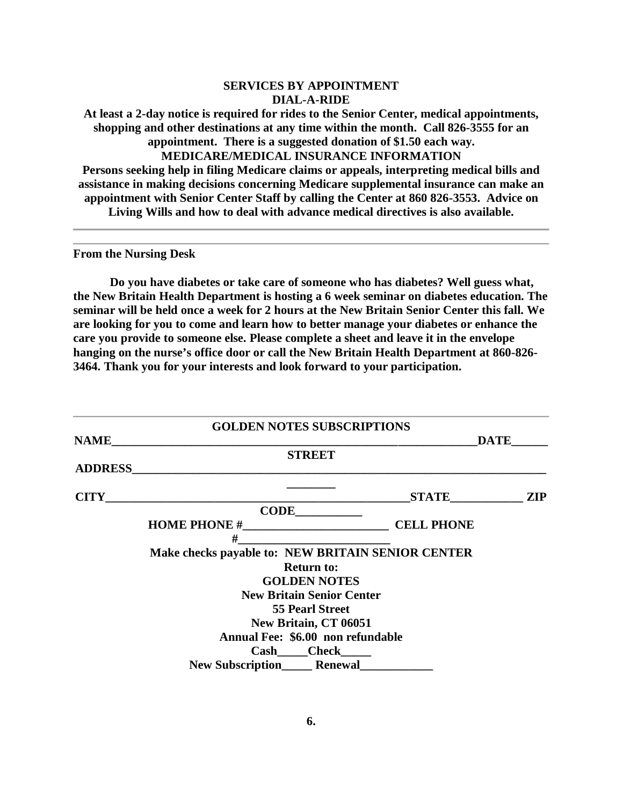# **SERVICES BY APPOINTMENT DIAL-A-RIDE**

**At least a 2-day notice is required for rides to the Senior Center, medical appointments, shopping and other destinations at any time within the month. Call 826-3555 for an appointment. There is a suggested donation of \$1.50 each way. MEDICARE/MEDICAL INSURANCE INFORMATION Persons seeking help in filing Medicare claims or appeals, interpreting medical bills and assistance in making decisions concerning Medicare supplemental insurance can make an appointment with Senior Center Staff by calling the Center at 860 826-3553. Advice on Living Wills and how to deal with advance medical directives is also available.**

**From the Nursing Desk**

**Do you have diabetes or take care of someone who has diabetes? Well guess what, the New Britain Health Department is hosting a 6 week seminar on diabetes education. The seminar will be held once a week for 2 hours at the New Britain Senior Center this fall. We are looking for you to come and learn how to better manage your diabetes or enhance the care you provide to someone else. Please complete a sheet and leave it in the envelope hanging on the nurse's office door or call the New Britain Health Department at 860-826- 3464. Thank you for your interests and look forward to your participation.**

|                | <b>GOLDEN NOTES SUBSCRIPTIONS</b>                                 |                   |  |
|----------------|-------------------------------------------------------------------|-------------------|--|
| <b>NAME</b>    |                                                                   | <b>DATE</b>       |  |
|                | <b>STREET</b>                                                     |                   |  |
| <b>ADDRESS</b> | <u> 1980 - Johann John Stone, mars eta biztanleria (h. 1980).</u> |                   |  |
| <b>CITY</b>    | <u> 1989 - Johann Barn, amerikansk politiker (d. 1989)</u>        | STATE ZIP         |  |
|                | $CODE$                                                            |                   |  |
|                |                                                                   | <b>CELL PHONE</b> |  |
|                | #                                                                 |                   |  |
|                | Make checks payable to: NEW BRITAIN SENIOR CENTER                 |                   |  |
|                | <b>Return to:</b>                                                 |                   |  |
|                | <b>GOLDEN NOTES</b>                                               |                   |  |
|                | <b>New Britain Senior Center</b>                                  |                   |  |
|                | <b>55 Pearl Street</b>                                            |                   |  |
|                | New Britain, CT 06051                                             |                   |  |
|                | Annual Fee: \$6.00 non refundable                                 |                   |  |
|                | <b>Cash</b> Check                                                 |                   |  |
|                | <b>New Subscription Renewal</b>                                   |                   |  |